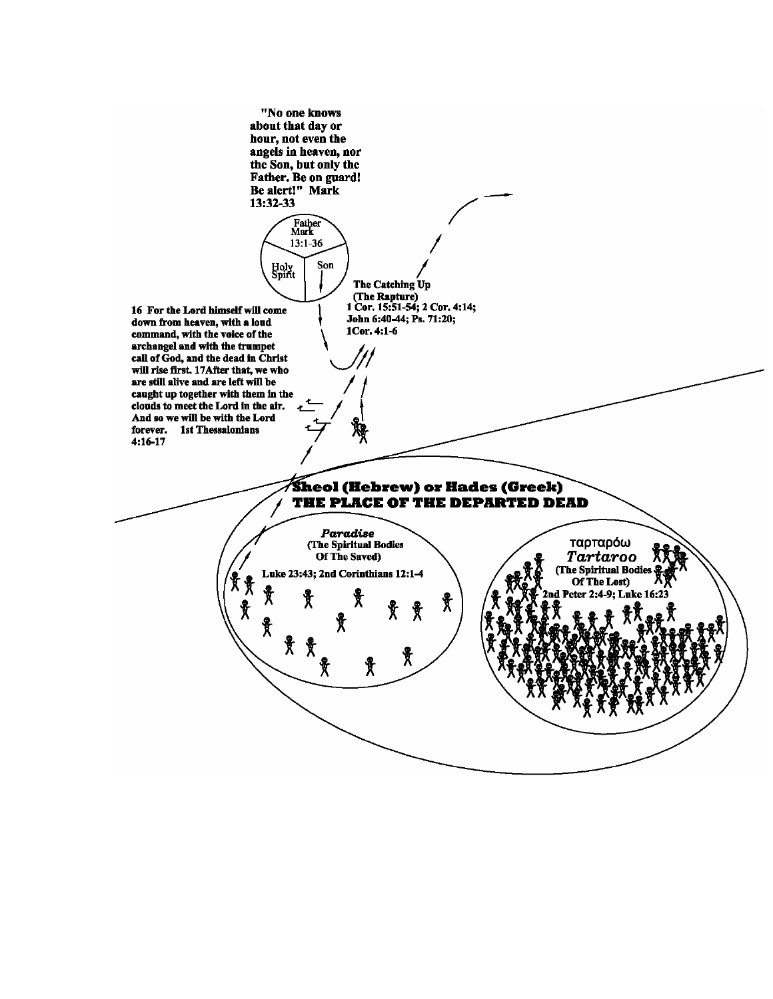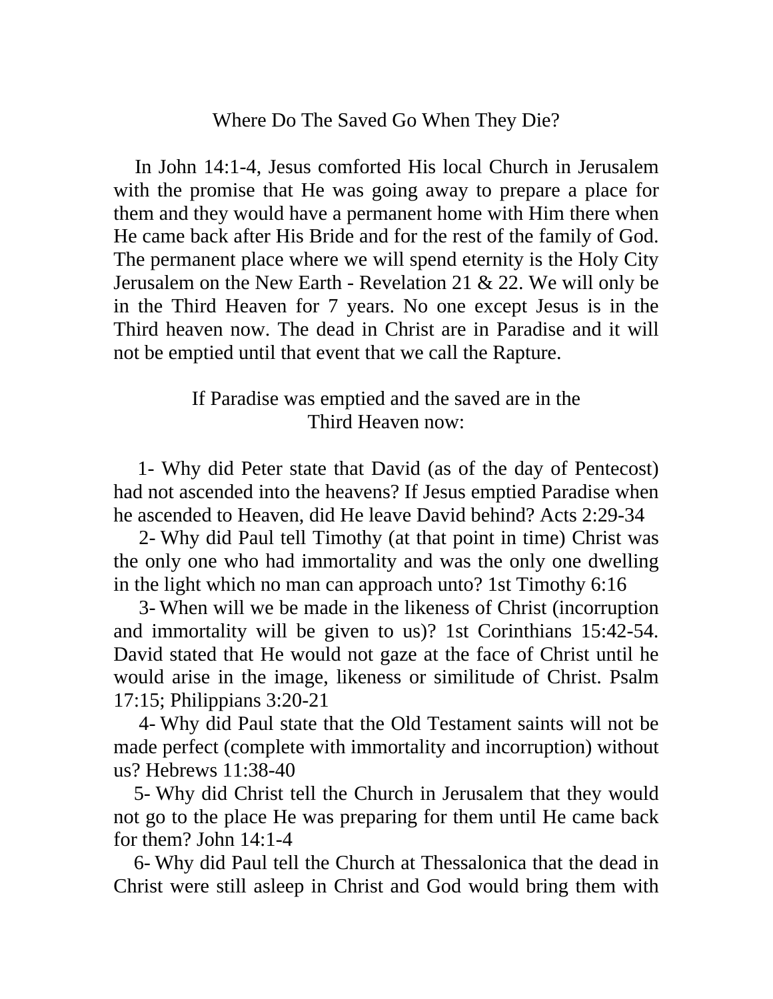## Where Do The Saved Go When They Die?

 In John 14:1-4, Jesus comforted His local Church in Jerusalem with the promise that He was going away to prepare a place for them and they would have a permanent home with Him there when He came back after His Bride and for the rest of the family of God. The permanent place where we will spend eternity is the Holy City Jerusalem on the New Earth - Revelation 21 & 22. We will only be in the Third Heaven for 7 years. No one except Jesus is in the Third heaven now. The dead in Christ are in Paradise and it will not be emptied until that event that we call the Rapture.

## If Paradise was emptied and the saved are in the Third Heaven now:

 1- Why did Peter state that David (as of the day of Pentecost) had not ascended into the heavens? If Jesus emptied Paradise when he ascended to Heaven, did He leave David behind? Acts 2:29-34

 2- Why did Paul tell Timothy (at that point in time) Christ was the only one who had immortality and was the only one dwelling in the light which no man can approach unto? 1st Timothy 6:16

 3- When will we be made in the likeness of Christ (incorruption and immortality will be given to us)? 1st Corinthians 15:42-54. David stated that He would not gaze at the face of Christ until he would arise in the image, likeness or similitude of Christ. Psalm 17:15; Philippians 3:20-21

 4- Why did Paul state that the Old Testament saints will not be made perfect (complete with immortality and incorruption) without us? Hebrews 11:38-40

 5- Why did Christ tell the Church in Jerusalem that they would not go to the place He was preparing for them until He came back for them? John 14:1-4

 6- Why did Paul tell the Church at Thessalonica that the dead in Christ were still asleep in Christ and God would bring them with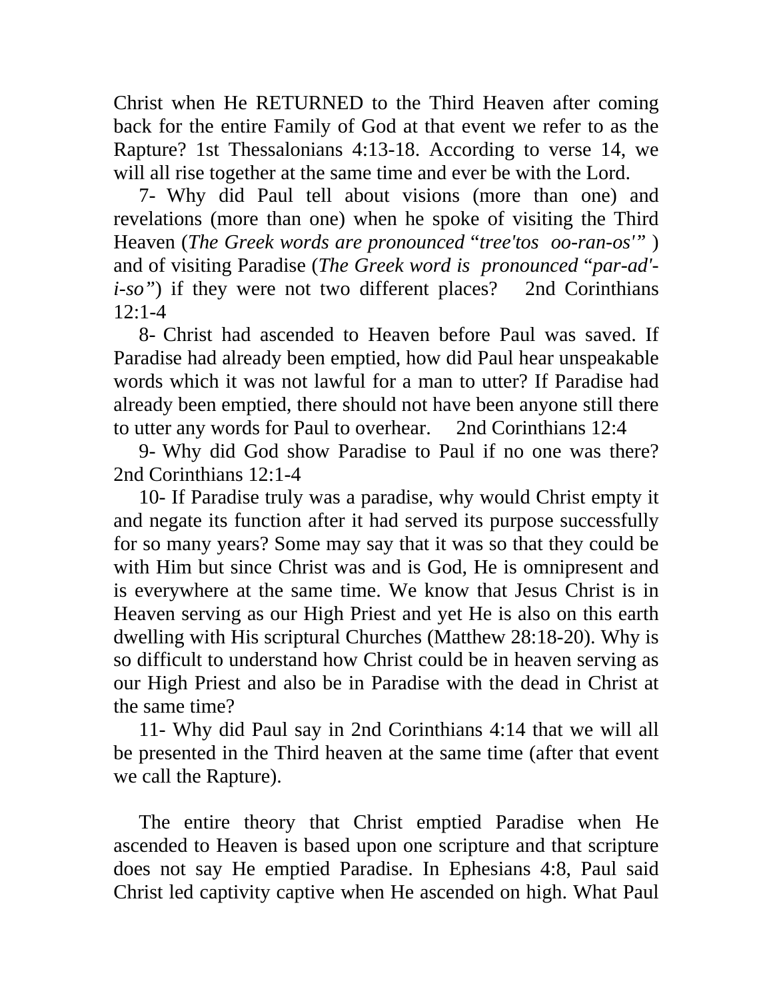Christ when He RETURNED to the Third Heaven after coming back for the entire Family of God at that event we refer to as the Rapture? 1st Thessalonians 4:13-18. According to verse 14, we will all rise together at the same time and ever be with the Lord.

 7- Why did Paul tell about visions (more than one) and revelations (more than one) when he spoke of visiting the Third Heaven (*The Greek words are pronounced* "*tree'tos oo-ran-os'"* ) and of visiting Paradise (*The Greek word is pronounced* "*par-ad' i-so"*) if they were not two different places? 2nd Corinthians 12:1-4

 8- Christ had ascended to Heaven before Paul was saved. If Paradise had already been emptied, how did Paul hear unspeakable words which it was not lawful for a man to utter? If Paradise had already been emptied, there should not have been anyone still there to utter any words for Paul to overhear. 2nd Corinthians 12:4

 9- Why did God show Paradise to Paul if no one was there? 2nd Corinthians 12:1-4

 10- If Paradise truly was a paradise, why would Christ empty it and negate its function after it had served its purpose successfully for so many years? Some may say that it was so that they could be with Him but since Christ was and is God, He is omnipresent and is everywhere at the same time. We know that Jesus Christ is in Heaven serving as our High Priest and yet He is also on this earth dwelling with His scriptural Churches (Matthew 28:18-20). Why is so difficult to understand how Christ could be in heaven serving as our High Priest and also be in Paradise with the dead in Christ at the same time?

 11- Why did Paul say in 2nd Corinthians 4:14 that we will all be presented in the Third heaven at the same time (after that event we call the Rapture).

 The entire theory that Christ emptied Paradise when He ascended to Heaven is based upon one scripture and that scripture does not say He emptied Paradise. In Ephesians 4:8, Paul said Christ led captivity captive when He ascended on high. What Paul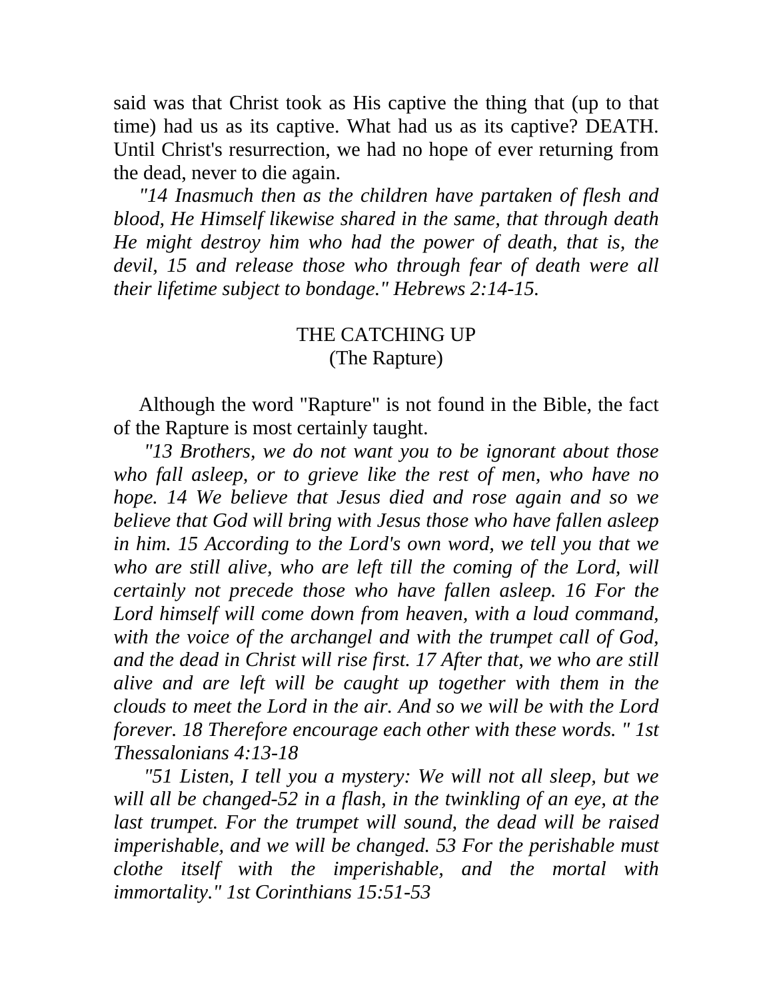said was that Christ took as His captive the thing that (up to that time) had us as its captive. What had us as its captive? DEATH. Until Christ's resurrection, we had no hope of ever returning from the dead, never to die again.

 *"14 Inasmuch then as the children have partaken of flesh and blood, He Himself likewise shared in the same, that through death He might destroy him who had the power of death, that is, the devil, 15 and release those who through fear of death were all their lifetime subject to bondage." Hebrews 2:14-15.* 

## THE CATCHING UP (The Rapture)

 Although the word "Rapture" is not found in the Bible, the fact of the Rapture is most certainly taught.

 *"13 Brothers, we do not want you to be ignorant about those who fall asleep, or to grieve like the rest of men, who have no hope. 14 We believe that Jesus died and rose again and so we believe that God will bring with Jesus those who have fallen asleep in him. 15 According to the Lord's own word, we tell you that we*  who are still alive, who are left till the coming of the Lord, will *certainly not precede those who have fallen asleep. 16 For the Lord himself will come down from heaven, with a loud command, with the voice of the archangel and with the trumpet call of God, and the dead in Christ will rise first. 17 After that, we who are still alive and are left will be caught up together with them in the clouds to meet the Lord in the air. And so we will be with the Lord forever. 18 Therefore encourage each other with these words. " 1st Thessalonians 4:13-18* 

 *"51 Listen, I tell you a mystery: We will not all sleep, but we will all be changed-52 in a flash, in the twinkling of an eye, at the*  last trumpet. For the trumpet will sound, the dead will be raised *imperishable, and we will be changed. 53 For the perishable must clothe itself with the imperishable, and the mortal with immortality." 1st Corinthians 15:51-53*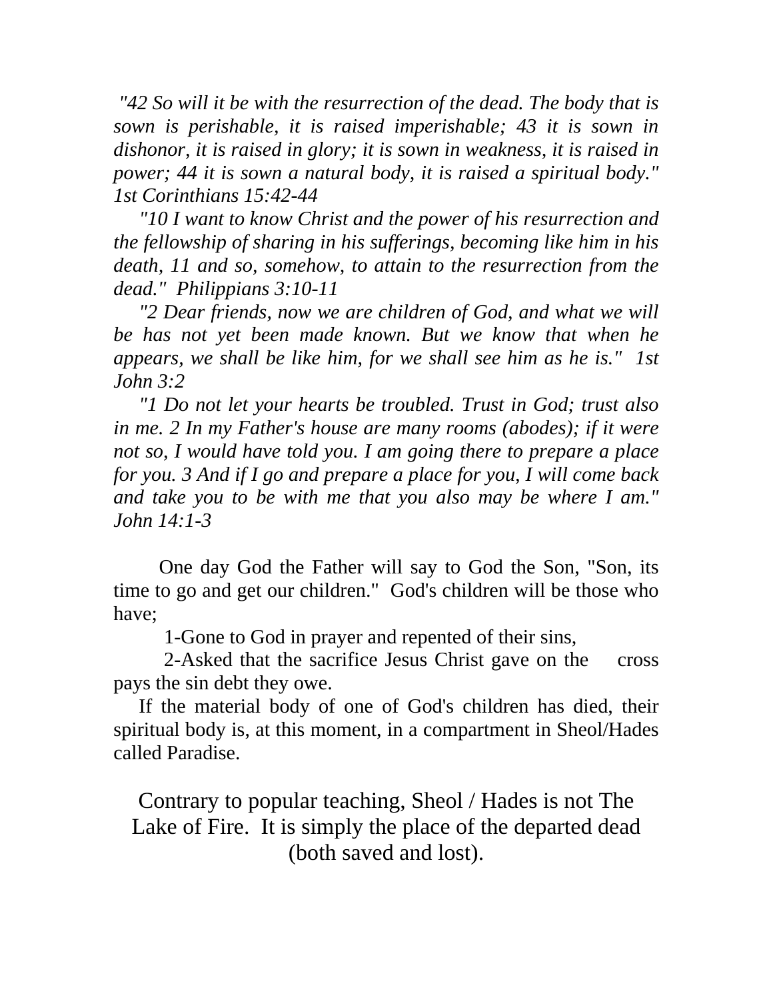*"42 So will it be with the resurrection of the dead. The body that is sown is perishable, it is raised imperishable; 43 it is sown in dishonor, it is raised in glory; it is sown in weakness, it is raised in power; 44 it is sown a natural body, it is raised a spiritual body." 1st Corinthians 15:42-44* 

 *"10 I want to know Christ and the power of his resurrection and the fellowship of sharing in his sufferings, becoming like him in his death, 11 and so, somehow, to attain to the resurrection from the dead." Philippians 3:10-11* 

 *"2 Dear friends, now we are children of God, and what we will be has not yet been made known. But we know that when he appears, we shall be like him, for we shall see him as he is." 1st John 3:2* 

 *"1 Do not let your hearts be troubled. Trust in God; trust also in me. 2 In my Father's house are many rooms (abodes); if it were not so, I would have told you. I am going there to prepare a place for you. 3 And if I go and prepare a place for you, I will come back and take you to be with me that you also may be where I am." John 14:1-3*

One day God the Father will say to God the Son, "Son, its time to go and get our children." God's children will be those who have;

1-Gone to God in prayer and repented of their sins,

 2-Asked that the sacrifice Jesus Christ gave on the cross pays the sin debt they owe.

 If the material body of one of God's children has died, their spiritual body is, at this moment, in a compartment in Sheol/Hades called Paradise.

Contrary to popular teaching, Sheol / Hades is not The Lake of Fire. It is simply the place of the departed dead (both saved and lost).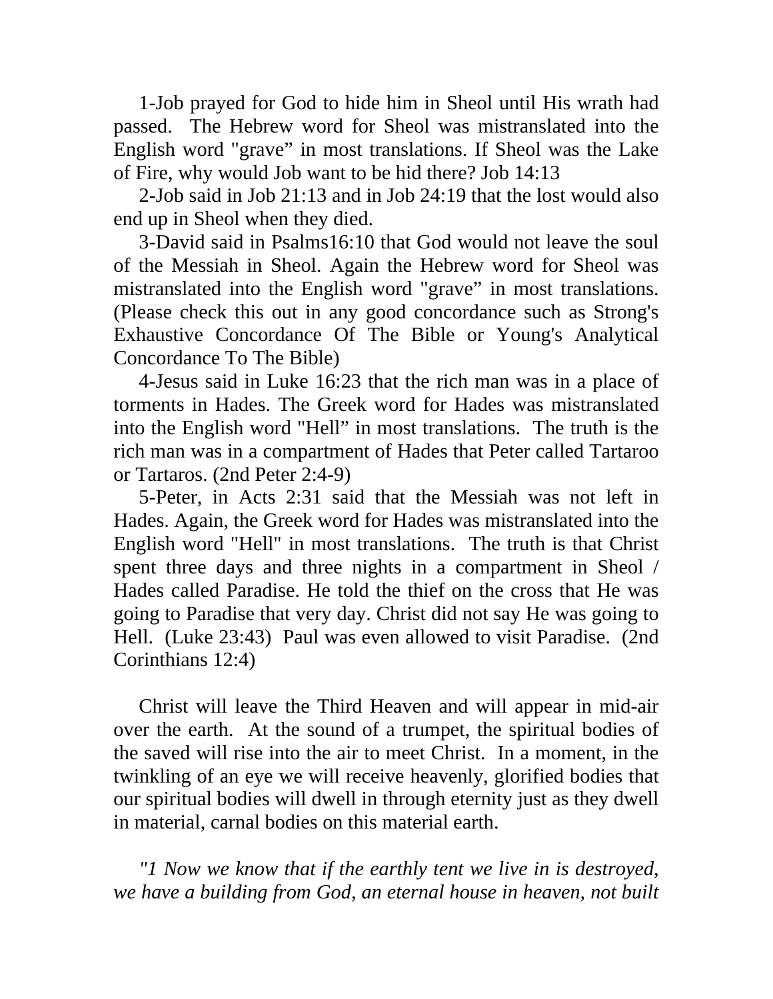1-Job prayed for God to hide him in Sheol until His wrath had passed. The Hebrew word for Sheol was mistranslated into the English word "grave" in most translations. If Sheol was the Lake of Fire, why would Job want to be hid there? Job 14:13

 2-Job said in Job 21:13 and in Job 24:19 that the lost would also end up in Sheol when they died.

 3-David said in Psalms16:10 that God would not leave the soul of the Messiah in Sheol. Again the Hebrew word for Sheol was mistranslated into the English word "grave" in most translations. (Please check this out in any good concordance such as Strong's Exhaustive Concordance Of The Bible or Young's Analytical Concordance To The Bible)

 4-Jesus said in Luke 16:23 that the rich man was in a place of torments in Hades. The Greek word for Hades was mistranslated into the English word "Hell" in most translations. The truth is the rich man was in a compartment of Hades that Peter called Tartaroo or Tartaros. (2nd Peter 2:4-9)

 5-Peter, in Acts 2:31 said that the Messiah was not left in Hades. Again, the Greek word for Hades was mistranslated into the English word "Hell" in most translations. The truth is that Christ spent three days and three nights in a compartment in Sheol / Hades called Paradise. He told the thief on the cross that He was going to Paradise that very day. Christ did not say He was going to Hell. (Luke 23:43) Paul was even allowed to visit Paradise. (2nd Corinthians 12:4)

 Christ will leave the Third Heaven and will appear in mid-air over the earth. At the sound of a trumpet, the spiritual bodies of the saved will rise into the air to meet Christ. In a moment, in the twinkling of an eye we will receive heavenly, glorified bodies that our spiritual bodies will dwell in through eternity just as they dwell in material, carnal bodies on this material earth.

 *"1 Now we know that if the earthly tent we live in is destroyed, we have a building from God, an eternal house in heaven, not built*